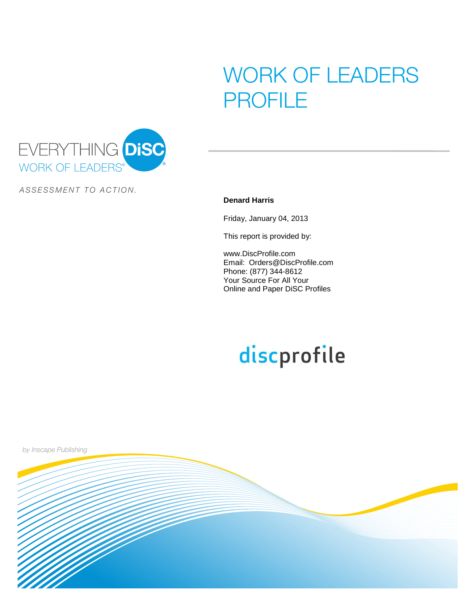# WORK OF LEADERS PROFILE



ASSESSMENT TO ACTION.

#### **Denard Harris**

Friday, January 04, 2013

This report is provided by:

www.DiscProfile.com Email: Orders@DiscProfile.com Phone: (877) 344-8612 Your Source For All Your Online and Paper DiSC Profiles

# discprofile

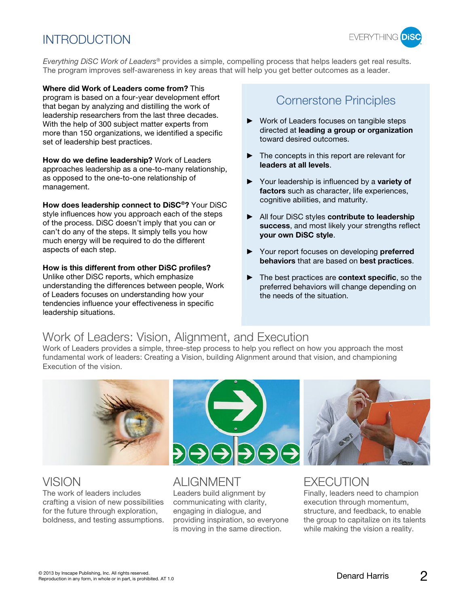## **INTRODUCTION**



Everything DISC Work of Leaders<sup>®</sup> provides a simple, compelling process that helps leaders get real results. The program improves self-awareness in key areas that will help you get better outcomes as a leader.

**Where did Work of Leaders come from?** This program is based on a four-year development effort that began by analyzing and distilling the work of leadership researchers from the last three decades. With the help of 300 subject matter experts from more than 150 organizations, we identified a specific set of leadership best practices.

**How do we define leadership?** Work of Leaders approaches leadership as a one-to-many relationship, as opposed to the one-to-one relationship of management.

**How does leadership connect to DiSC®?** Your DiSC style influences how you approach each of the steps of the process. DiSC doesn't imply that you can or can't do any of the steps. It simply tells you how much energy will be required to do the different aspects of each step.

**How is this different from other DiSC profiles?**

Unlike other DiSC reports, which emphasize understanding the differences between people, Work of Leaders focuses on understanding how your tendencies influence your effectiveness in specific leadership situations.

#### Cornerstone Principles

- Work of Leaders focuses on tangible steps directed at **leading a group or organization** toward desired outcomes.
- $\blacktriangleright$  The concepts in this report are relevant for **leaders at all levels**.
- Your leadership is influenced by a **variety of factors** such as character, life experiences, cognitive abilities, and maturity.
- All four DiSC styles **contribute to leadership success**, and most likely your strengths reflect **your own DiSC style**.
- Your report focuses on developing **preferred behaviors** that are based on **best practices**.
- ▶ The best practices are **context specific**, so the preferred behaviors will change depending on the needs of the situation.

## Work of Leaders: Vision, Alignment, and Execution

Work of Leaders provides a simple, three-step process to help you reflect on how you approach the most fundamental work of leaders: Creating a Vision, building Alignment around that vision, and championing Execution of the vision.



The work of leaders includes crafting a vision of new possibilities for the future through exploration, boldness, and testing assumptions.

VISION ALIGNMENT EXECUTION

Leaders build alignment by communicating with clarity, engaging in dialogue, and providing inspiration, so everyone is moving in the same direction.

Finally, leaders need to champion

execution through momentum, structure, and feedback, to enable the group to capitalize on its talents while making the vision a reality.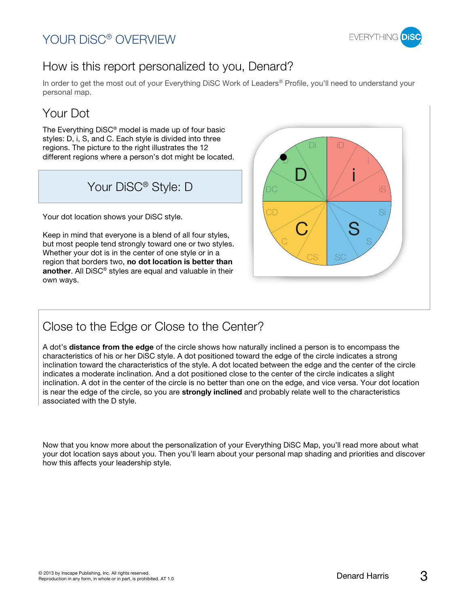#### YOUR DiSC® OVERVIEW



#### How is this report personalized to you, Denard?

In order to get the most out of your Everything DiSC Work of Leaders<sup>®</sup> Profile, you'll need to understand your personal map.

## Your Dot

The Everything DiSC® model is made up of four basic styles: D, i, S, and C. Each style is divided into three regions. The picture to the right illustrates the 12 different regions where a person's dot might be located.

Your DiSC<sup>®</sup> Style: D

Your dot location shows your DiSC style.

Keep in mind that everyone is a blend of all four styles, but most people tend strongly toward one or two styles. Whether your dot is in the center of one style or in a region that borders two, **no dot location is better than another**. All DiSC® styles are equal and valuable in their own ways.



#### Close to the Edge or Close to the Center?

A dot's **distance from the edge** of the circle shows how naturally inclined a person is to encompass the characteristics of his or her DiSC style. A dot positioned toward the edge of the circle indicates a strong inclination toward the characteristics of the style. A dot located between the edge and the center of the circle indicates a moderate inclination. And a dot positioned close to the center of the circle indicates a slight inclination. A dot in the center of the circle is no better than one on the edge, and vice versa. Your dot location is near the edge of the circle, so you are **strongly inclined** and probably relate well to the characteristics associated with the D style.

Now that you know more about the personalization of your Everything DiSC Map, you'll read more about what your dot location says about you. Then you'll learn about your personal map shading and priorities and discover how this affects your leadership style.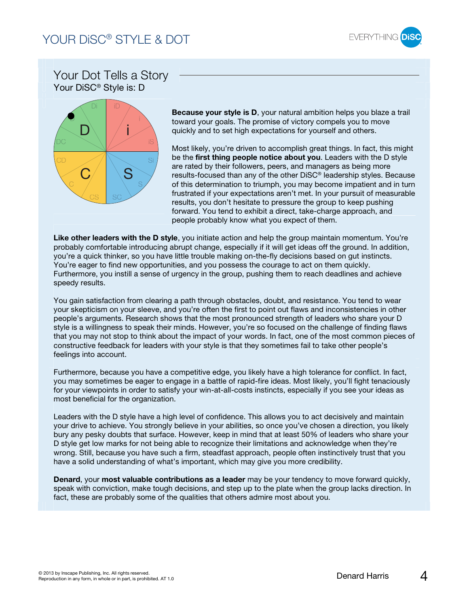

#### Your Dot Tells a Story Your DiSC® Style is: D



**Because your style is D**, your natural ambition helps you blaze a trail toward your goals. The promise of victory compels you to move quickly and to set high expectations for yourself and others.

Most likely, you're driven to accomplish great things. In fact, this might be the **first thing people notice about you**. Leaders with the D style are rated by their followers, peers, and managers as being more results-focused than any of the other DiSC® leadership styles. Because of this determination to triumph, you may become impatient and in turn frustrated if your expectations aren't met. In your pursuit of measurable results, you don't hesitate to pressure the group to keep pushing forward. You tend to exhibit a direct, take-charge approach, and people probably know what you expect of them.

**Like other leaders with the D style**, you initiate action and help the group maintain momentum. You're probably comfortable introducing abrupt change, especially if it will get ideas off the ground. In addition, you're a quick thinker, so you have little trouble making on-the-fly decisions based on gut instincts. You're eager to find new opportunities, and you possess the courage to act on them quickly. Furthermore, you instill a sense of urgency in the group, pushing them to reach deadlines and achieve speedy results.

You gain satisfaction from clearing a path through obstacles, doubt, and resistance. You tend to wear your skepticism on your sleeve, and you're often the first to point out flaws and inconsistencies in other people's arguments. Research shows that the most pronounced strength of leaders who share your D style is a willingness to speak their minds. However, you're so focused on the challenge of finding flaws that you may not stop to think about the impact of your words. In fact, one of the most common pieces of constructive feedback for leaders with your style is that they sometimes fail to take other people's feelings into account.

Furthermore, because you have a competitive edge, you likely have a high tolerance for conflict. In fact, you may sometimes be eager to engage in a battle of rapid-fire ideas. Most likely, you'll fight tenaciously for your viewpoints in order to satisfy your win-at-all-costs instincts, especially if you see your ideas as most beneficial for the organization.

Leaders with the D style have a high level of confidence. This allows you to act decisively and maintain your drive to achieve. You strongly believe in your abilities, so once you've chosen a direction, you likely bury any pesky doubts that surface. However, keep in mind that at least 50% of leaders who share your D style get low marks for not being able to recognize their limitations and acknowledge when they're wrong. Still, because you have such a firm, steadfast approach, people often instinctively trust that you have a solid understanding of what's important, which may give you more credibility.

**Denard**, your **most valuable contributions as a leader** may be your tendency to move forward quickly, speak with conviction, make tough decisions, and step up to the plate when the group lacks direction. In fact, these are probably some of the qualities that others admire most about you.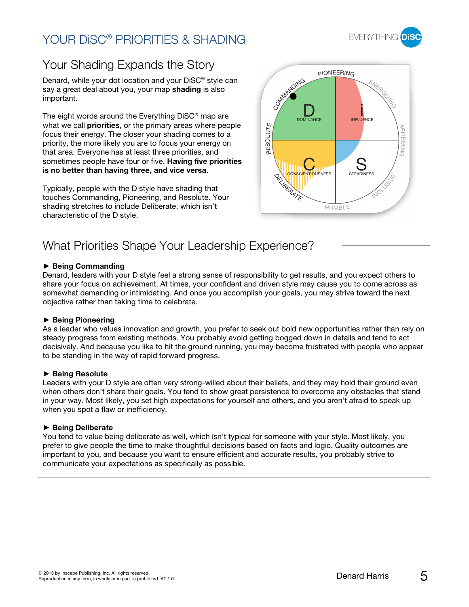## YOUR DiSC® PRIORITIES & SHADING



## Your Shading Expands the Story

Denard, while your dot location and your DiSC® style can say a great deal about you, your map **shading** is also important.

The eight words around the Everything DiSC® map are what we call **priorities**, or the primary areas where people focus their energy. The closer your shading comes to a priority, the more likely you are to focus your energy on that area. Everyone has at least three priorities, and sometimes people have four or five. **Having five priorities is no better than having three, and vice versa**.

Typically, people with the D style have shading that touches Commanding, Pioneering, and Resolute. Your shading stretches to include Deliberate, which isn't characteristic of the D style.



### What Priorities Shape Your Leadership Experience?

#### **Being Commanding**

Denard, leaders with your D style feel a strong sense of responsibility to get results, and you expect others to share your focus on achievement. At times, your confident and driven style may cause you to come across as somewhat demanding or intimidating. And once you accomplish your goals, you may strive toward the next objective rather than taking time to celebrate.

#### **Being Pioneering**

As a leader who values innovation and growth, you prefer to seek out bold new opportunities rather than rely on steady progress from existing methods. You probably avoid getting bogged down in details and tend to act decisively. And because you like to hit the ground running, you may become frustrated with people who appear to be standing in the way of rapid forward progress.

#### **Being Resolute**

Leaders with your D style are often very strong-willed about their beliefs, and they may hold their ground even when others don't share their goals. You tend to show great persistence to overcome any obstacles that stand in your way. Most likely, you set high expectations for yourself and others, and you aren't afraid to speak up when you spot a flaw or inefficiency.

#### **Being Deliberate**

You tend to value being deliberate as well, which isn't typical for someone with your style. Most likely, you prefer to give people the time to make thoughtful decisions based on facts and logic. Quality outcomes are important to you, and because you want to ensure efficient and accurate results, you probably strive to communicate your expectations as specifically as possible.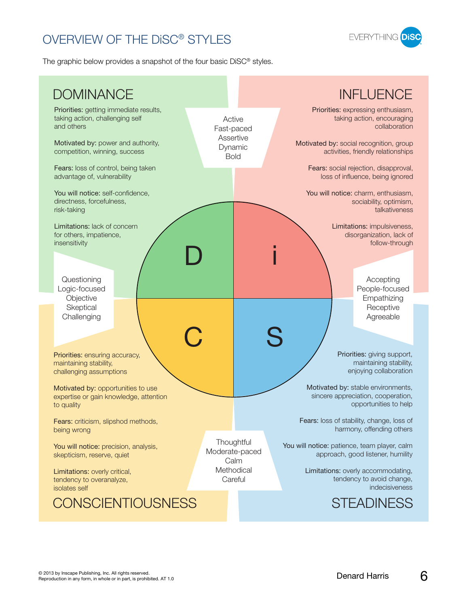## OVERVIEW OF THE DiSC® STYLES



The graphic below provides a snapshot of the four basic DiSC® styles.

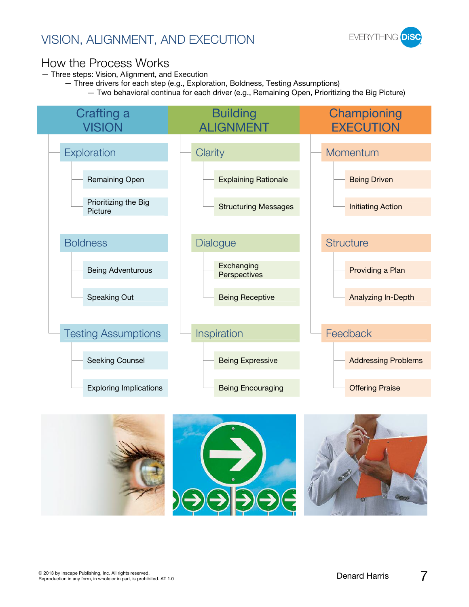## VISION, ALIGNMENT, AND EXECUTION



#### How the Process Works

— Three steps: Vision, Alignment, and Execution

- Three drivers for each step (e.g., Exploration, Boldness, Testing Assumptions)
	- Two behavioral continua for each driver (e.g., Remaining Open, Prioritizing the Big Picture)



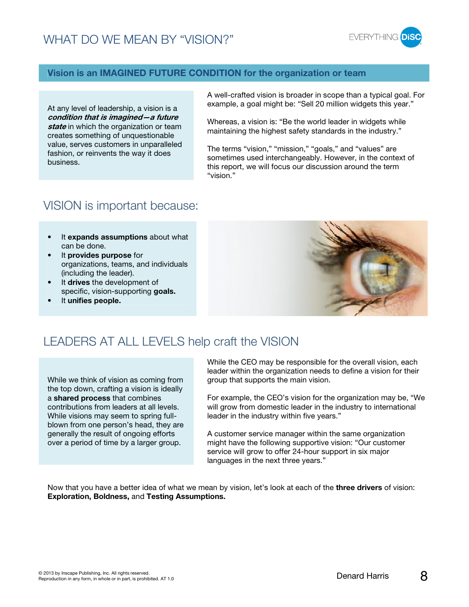

#### **Vision is an IMAGINED FUTURE CONDITION for the organization or team**

At any level of leadership, a vision is a **condition that is imagined—a future state** in which the organization or team creates something of unquestionable value, serves customers in unparalleled fashion, or reinvents the way it does business.

A well-crafted vision is broader in scope than a typical goal. For example, a goal might be: "Sell 20 million widgets this year."

Whereas, a vision is: "Be the world leader in widgets while maintaining the highest safety standards in the industry."

The terms "vision," "mission," "goals," and "values" are sometimes used interchangeably. However, in the context of this report, we will focus our discussion around the term "vision."

#### VISION is important because:

- It **expands assumptions** about what can be done.
- It **provides purpose** for organizations, teams, and individuals (including the leader).
- It **drives** the development of specific, vision-supporting **goals.**
- It **unifies people.**



#### LEADERS AT ALL LEVELS help craft the VISION

While we think of vision as coming from the top down, crafting a vision is ideally a **shared process** that combines contributions from leaders at all levels. While visions may seem to spring fullblown from one person's head, they are generally the result of ongoing efforts over a period of time by a larger group.

While the CEO may be responsible for the overall vision, each leader within the organization needs to define a vision for their group that supports the main vision.

For example, the CEO's vision for the organization may be, "We will grow from domestic leader in the industry to international leader in the industry within five years."

A customer service manager within the same organization might have the following supportive vision: "Our customer service will grow to offer 24-hour support in six major languages in the next three years."

Now that you have a better idea of what we mean by vision, let's look at each of the **three drivers** of vision: **Exploration, Boldness,** and **Testing Assumptions.**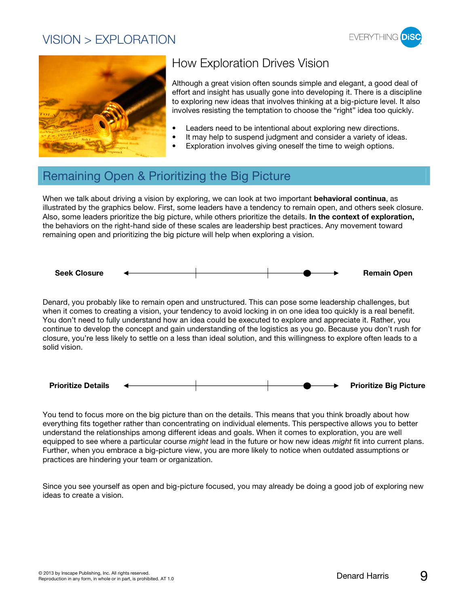#### VISION > EXPLORATION





## How Exploration Drives Vision

Although a great vision often sounds simple and elegant, a good deal of effort and insight has usually gone into developing it. There is a discipline to exploring new ideas that involves thinking at a big-picture level. It also involves resisting the temptation to choose the "right" idea too quickly.

- Leaders need to be intentional about exploring new directions.
- It may help to suspend judgment and consider a variety of ideas.
	- Exploration involves giving oneself the time to weigh options.

#### Remaining Open & Prioritizing the Big Picture

When we talk about driving a vision by exploring, we can look at two important **behavioral continua**, as illustrated by the graphics below. First, some leaders have a tendency to remain open, and others seek closure. Also, some leaders prioritize the big picture, while others prioritize the details. **In the context of exploration,** the behaviors on the right-hand side of these scales are leadership best practices. Any movement toward remaining open and prioritizing the big picture will help when exploring a vision.



Denard, you probably like to remain open and unstructured. This can pose some leadership challenges, but when it comes to creating a vision, your tendency to avoid locking in on one idea too quickly is a real benefit. You don't need to fully understand how an idea could be executed to explore and appreciate it. Rather, you continue to develop the concept and gain understanding of the logistics as you go. Because you don't rush for closure, you're less likely to settle on a less than ideal solution, and this willingness to explore often leads to a solid vision.



You tend to focus more on the big picture than on the details. This means that you think broadly about how everything fits together rather than concentrating on individual elements. This perspective allows you to better understand the relationships among different ideas and goals. When it comes to exploration, you are well equipped to see where a particular course might lead in the future or how new ideas might fit into current plans. Further, when you embrace a big-picture view, you are more likely to notice when outdated assumptions or practices are hindering your team or organization.

Since you see yourself as open and big-picture focused, you may already be doing a good job of exploring new ideas to create a vision.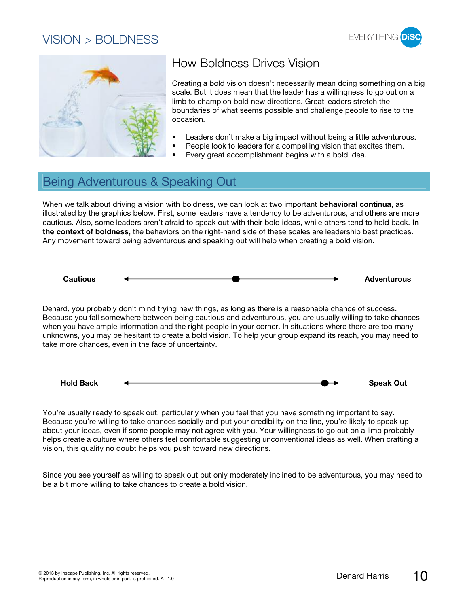#### VISION > BOLDNESS





## How Boldness Drives Vision

Creating a bold vision doesn't necessarily mean doing something on a big scale. But it does mean that the leader has a willingness to go out on a limb to champion bold new directions. Great leaders stretch the boundaries of what seems possible and challenge people to rise to the occasion.

- Leaders don't make a big impact without being a little adventurous.
- People look to leaders for a compelling vision that excites them.
- Every great accomplishment begins with a bold idea.

#### Being Adventurous & Speaking Out

When we talk about driving a vision with boldness, we can look at two important **behavioral continua**, as illustrated by the graphics below. First, some leaders have a tendency to be adventurous, and others are more cautious. Also, some leaders aren't afraid to speak out with their bold ideas, while others tend to hold back. **In the context of boldness,** the behaviors on the right-hand side of these scales are leadership best practices. Any movement toward being adventurous and speaking out will help when creating a bold vision.



Denard, you probably don't mind trying new things, as long as there is a reasonable chance of success. Because you fall somewhere between being cautious and adventurous, you are usually willing to take chances when you have ample information and the right people in your corner. In situations where there are too many unknowns, you may be hesitant to create a bold vision. To help your group expand its reach, you may need to take more chances, even in the face of uncertainty.



You're usually ready to speak out, particularly when you feel that you have something important to say. Because you're willing to take chances socially and put your credibility on the line, you're likely to speak up about your ideas, even if some people may not agree with you. Your willingness to go out on a limb probably helps create a culture where others feel comfortable suggesting unconventional ideas as well. When crafting a vision, this quality no doubt helps you push toward new directions.

Since you see yourself as willing to speak out but only moderately inclined to be adventurous, you may need to be a bit more willing to take chances to create a bold vision.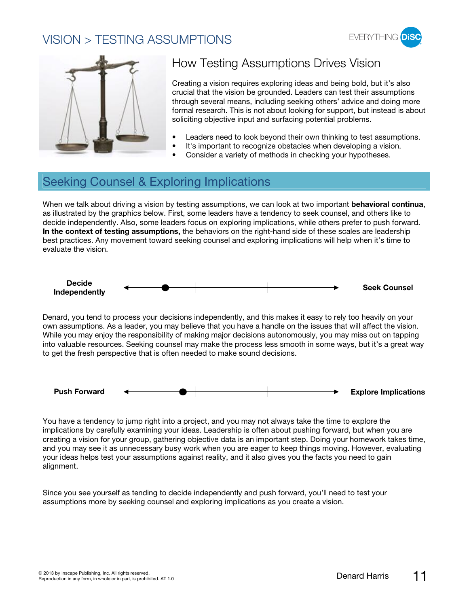#### VISION > TESTING ASSUMPTIONS





## How Testing Assumptions Drives Vision

Creating a vision requires exploring ideas and being bold, but it's also crucial that the vision be grounded. Leaders can test their assumptions through several means, including seeking others' advice and doing more formal research. This is not about looking for support, but instead is about soliciting objective input and surfacing potential problems.

- Leaders need to look beyond their own thinking to test assumptions.
- It's important to recognize obstacles when developing a vision.
- Consider a variety of methods in checking your hypotheses.

#### Seeking Counsel & Exploring Implications

When we talk about driving a vision by testing assumptions, we can look at two important **behavioral continua**, as illustrated by the graphics below. First, some leaders have a tendency to seek counsel, and others like to decide independently. Also, some leaders focus on exploring implications, while others prefer to push forward. **In the context of testing assumptions,** the behaviors on the right-hand side of these scales are leadership best practices. Any movement toward seeking counsel and exploring implications will help when it's time to evaluate the vision.



Denard, you tend to process your decisions independently, and this makes it easy to rely too heavily on your own assumptions. As a leader, you may believe that you have a handle on the issues that will affect the vision. While you may enjoy the responsibility of making major decisions autonomously, you may miss out on tapping into valuable resources. Seeking counsel may make the process less smooth in some ways, but it's a great way to get the fresh perspective that is often needed to make sound decisions.



You have a tendency to jump right into a project, and you may not always take the time to explore the implications by carefully examining your ideas. Leadership is often about pushing forward, but when you are creating a vision for your group, gathering objective data is an important step. Doing your homework takes time, and you may see it as unnecessary busy work when you are eager to keep things moving. However, evaluating your ideas helps test your assumptions against reality, and it also gives you the facts you need to gain alignment.

Since you see yourself as tending to decide independently and push forward, you'll need to test your assumptions more by seeking counsel and exploring implications as you create a vision.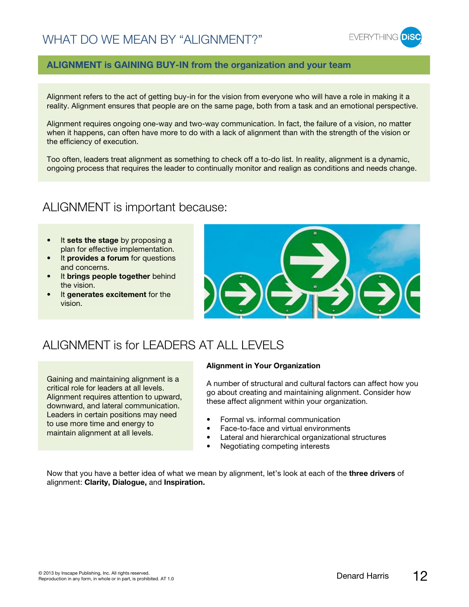

#### **ALIGNMENT is GAINING BUY-IN from the organization and your team**

Alignment refers to the act of getting buy-in for the vision from everyone who will have a role in making it a reality. Alignment ensures that people are on the same page, both from a task and an emotional perspective.

Alignment requires ongoing one-way and two-way communication. In fact, the failure of a vision, no matter when it happens, can often have more to do with a lack of alignment than with the strength of the vision or the efficiency of execution.

Too often, leaders treat alignment as something to check off a to-do list. In reality, alignment is a dynamic, ongoing process that requires the leader to continually monitor and realign as conditions and needs change.

#### ALIGNMENT is important because:

- It **sets the stage** by proposing a plan for effective implementation.
- It **provides a forum** for questions and concerns.
- It **brings people together** behind the vision.
- It **generates excitement** for the vision.



#### ALIGNMENT is for LEADERS AT ALL LEVELS

Gaining and maintaining alignment is a critical role for leaders at all levels. Alignment requires attention to upward, downward, and lateral communication. Leaders in certain positions may need to use more time and energy to maintain alignment at all levels.

#### **Alignment in Your Organization**

A number of structural and cultural factors can affect how you go about creating and maintaining alignment. Consider how these affect alignment within your organization.

- Formal vs. informal communication
- Face-to-face and virtual environments
- Lateral and hierarchical organizational structures
- Negotiating competing interests

Now that you have a better idea of what we mean by alignment, let's look at each of the **three drivers** of alignment: **Clarity, Dialogue,** and **Inspiration.**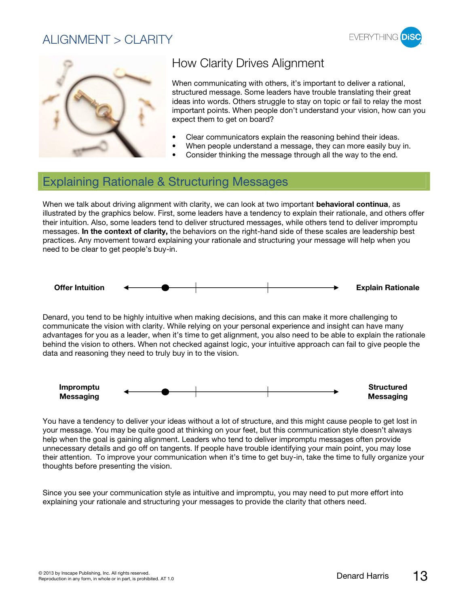#### ALIGNMENT  $>$  CLARITY





## How Clarity Drives Alignment

When communicating with others, it's important to deliver a rational, structured message. Some leaders have trouble translating their great ideas into words. Others struggle to stay on topic or fail to relay the most important points. When people don't understand your vision, how can you expect them to get on board?

- Clear communicators explain the reasoning behind their ideas.
- When people understand a message, they can more easily buy in.
- Consider thinking the message through all the way to the end.

#### Explaining Rationale & Structuring Messages

When we talk about driving alignment with clarity, we can look at two important **behavioral continua**, as illustrated by the graphics below. First, some leaders have a tendency to explain their rationale, and others offer their intuition. Also, some leaders tend to deliver structured messages, while others tend to deliver impromptu messages. **In the context of clarity,** the behaviors on the right-hand side of these scales are leadership best practices. Any movement toward explaining your rationale and structuring your message will help when you need to be clear to get people's buy-in.



Denard, you tend to be highly intuitive when making decisions, and this can make it more challenging to communicate the vision with clarity. While relying on your personal experience and insight can have many advantages for you as a leader, when it's time to get alignment, you also need to be able to explain the rationale behind the vision to others. When not checked against logic, your intuitive approach can fail to give people the data and reasoning they need to truly buy in to the vision.



You have a tendency to deliver your ideas without a lot of structure, and this might cause people to get lost in your message. You may be quite good at thinking on your feet, but this communication style doesn't always help when the goal is gaining alignment. Leaders who tend to deliver impromptu messages often provide unnecessary details and go off on tangents. If people have trouble identifying your main point, you may lose their attention. To improve your communication when it's time to get buy-in, take the time to fully organize your thoughts before presenting the vision.

Since you see your communication style as intuitive and impromptu, you may need to put more effort into explaining your rationale and structuring your messages to provide the clarity that others need.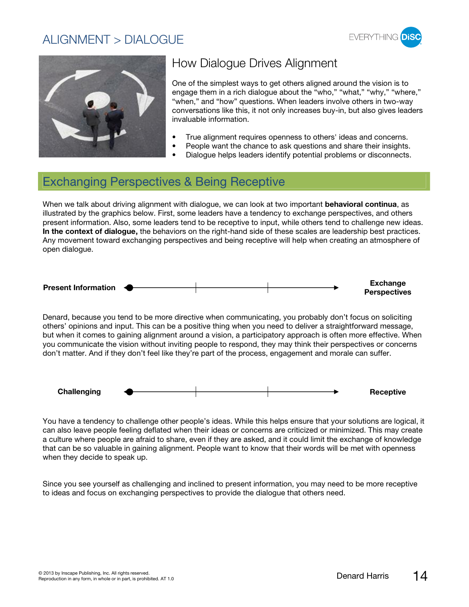#### ALIGNMENT > DIALOGUE





## How Dialogue Drives Alignment

One of the simplest ways to get others aligned around the vision is to engage them in a rich dialogue about the "who," "what," "why," "where," "when," and "how" questions. When leaders involve others in two-way conversations like this, it not only increases buy-in, but also gives leaders invaluable information.

- True alignment requires openness to others' ideas and concerns.
- People want the chance to ask questions and share their insights.
- Dialogue helps leaders identify potential problems or disconnects.

#### Exchanging Perspectives & Being Receptive

When we talk about driving alignment with dialogue, we can look at two important **behavioral continua**, as illustrated by the graphics below. First, some leaders have a tendency to exchange perspectives, and others present information. Also, some leaders tend to be receptive to input, while others tend to challenge new ideas. **In the context of dialogue,** the behaviors on the right-hand side of these scales are leadership best practices. Any movement toward exchanging perspectives and being receptive will help when creating an atmosphere of open dialogue.



Denard, because you tend to be more directive when communicating, you probably don't focus on soliciting others' opinions and input. This can be a positive thing when you need to deliver a straightforward message, but when it comes to gaining alignment around a vision, a participatory approach is often more effective. When you communicate the vision without inviting people to respond, they may think their perspectives or concerns don't matter. And if they don't feel like they're part of the process, engagement and morale can suffer.



You have a tendency to challenge other people's ideas. While this helps ensure that your solutions are logical, it can also leave people feeling deflated when their ideas or concerns are criticized or minimized. This may create a culture where people are afraid to share, even if they are asked, and it could limit the exchange of knowledge that can be so valuable in gaining alignment. People want to know that their words will be met with openness when they decide to speak up.

Since you see yourself as challenging and inclined to present information, you may need to be more receptive to ideas and focus on exchanging perspectives to provide the dialogue that others need.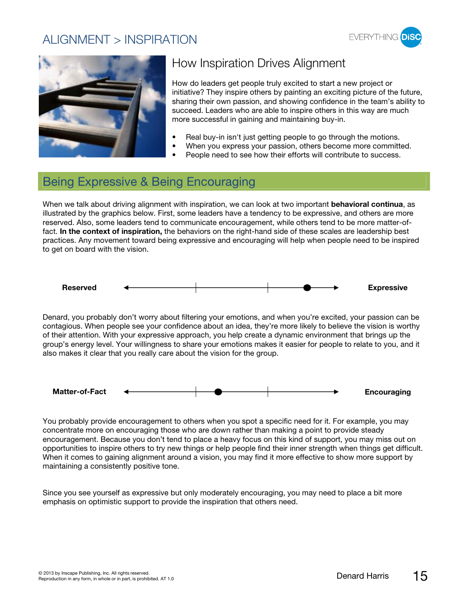#### ALIGNMENT > INSPIRATION





## How Inspiration Drives Alignment

How do leaders get people truly excited to start a new project or initiative? They inspire others by painting an exciting picture of the future, sharing their own passion, and showing confidence in the team's ability to succeed. Leaders who are able to inspire others in this way are much more successful in gaining and maintaining buy-in.

- Real buy-in isn't just getting people to go through the motions.
- When you express your passion, others become more committed.
- People need to see how their efforts will contribute to success.

#### Being Expressive & Being Encouraging

When we talk about driving alignment with inspiration, we can look at two important **behavioral continua**, as illustrated by the graphics below. First, some leaders have a tendency to be expressive, and others are more reserved. Also, some leaders tend to communicate encouragement, while others tend to be more matter-offact. **In the context of inspiration,** the behaviors on the right-hand side of these scales are leadership best practices. Any movement toward being expressive and encouraging will help when people need to be inspired to get on board with the vision.



Denard, you probably don't worry about filtering your emotions, and when you're excited, your passion can be contagious. When people see your confidence about an idea, they're more likely to believe the vision is worthy of their attention. With your expressive approach, you help create a dynamic environment that brings up the group's energy level. Your willingness to share your emotions makes it easier for people to relate to you, and it also makes it clear that you really care about the vision for the group.



You probably provide encouragement to others when you spot a specific need for it. For example, you may concentrate more on encouraging those who are down rather than making a point to provide steady encouragement. Because you don't tend to place a heavy focus on this kind of support, you may miss out on opportunities to inspire others to try new things or help people find their inner strength when things get difficult. When it comes to gaining alignment around a vision, you may find it more effective to show more support by maintaining a consistently positive tone.

Since you see yourself as expressive but only moderately encouraging, you may need to place a bit more emphasis on optimistic support to provide the inspiration that others need.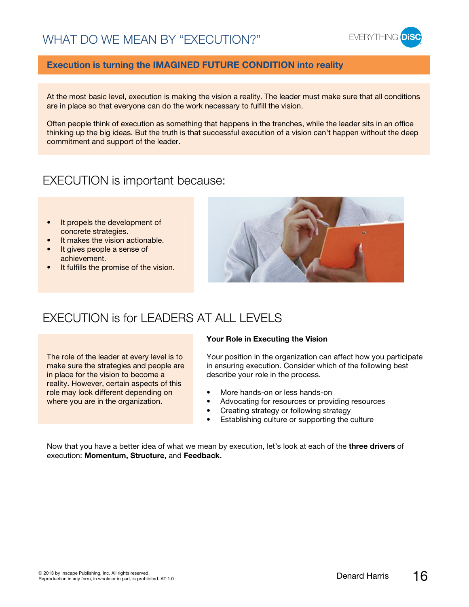

#### **Execution is turning the IMAGINED FUTURE CONDITION into reality**

At the most basic level, execution is making the vision a reality. The leader must make sure that all conditions are in place so that everyone can do the work necessary to fulfill the vision.

Often people think of execution as something that happens in the trenches, while the leader sits in an office thinking up the big ideas. But the truth is that successful execution of a vision can't happen without the deep commitment and support of the leader.

#### EXECUTION is important because:

- It propels the development of concrete strategies.
- It makes the vision actionable.
- It gives people a sense of achievement.
- It fulfills the promise of the vision.



#### EXECUTION is for LEADERS AT ALL LEVELS

The role of the leader at every level is to make sure the strategies and people are in place for the vision to become a reality. However, certain aspects of this role may look different depending on where you are in the organization.

#### **Your Role in Executing the Vision**

Your position in the organization can affect how you participate in ensuring execution. Consider which of the following best describe your role in the process.

- More hands-on or less hands-on
- Advocating for resources or providing resources
- Creating strategy or following strategy
- Establishing culture or supporting the culture

Now that you have a better idea of what we mean by execution, let's look at each of the **three drivers** of execution: **Momentum, Structure,** and **Feedback.**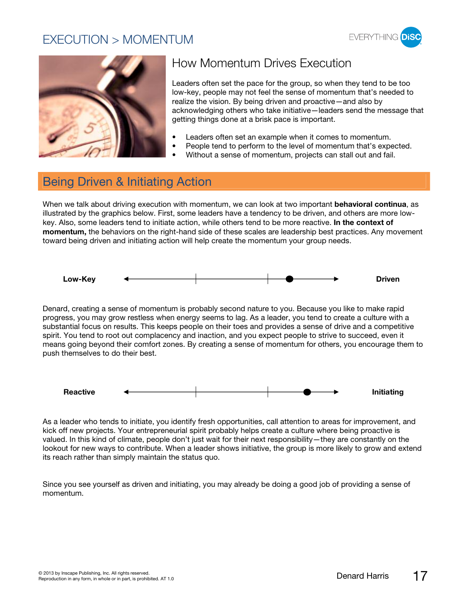#### EXECUTION > MOMENTUM





## How Momentum Drives Execution

Leaders often set the pace for the group, so when they tend to be too low-key, people may not feel the sense of momentum that's needed to realize the vision. By being driven and proactive—and also by acknowledging others who take initiative—leaders send the message that getting things done at a brisk pace is important.

- Leaders often set an example when it comes to momentum.
- People tend to perform to the level of momentum that's expected.
- Without a sense of momentum, projects can stall out and fail.

#### Being Driven & Initiating Action

When we talk about driving execution with momentum, we can look at two important **behavioral continua**, as illustrated by the graphics below. First, some leaders have a tendency to be driven, and others are more lowkey. Also, some leaders tend to initiate action, while others tend to be more reactive. **In the context of momentum,** the behaviors on the right-hand side of these scales are leadership best practices. Any movement toward being driven and initiating action will help create the momentum your group needs.



Denard, creating a sense of momentum is probably second nature to you. Because you like to make rapid progress, you may grow restless when energy seems to lag. As a leader, you tend to create a culture with a substantial focus on results. This keeps people on their toes and provides a sense of drive and a competitive spirit. You tend to root out complacency and inaction, and you expect people to strive to succeed, even it means going beyond their comfort zones. By creating a sense of momentum for others, you encourage them to push themselves to do their best.



As a leader who tends to initiate, you identify fresh opportunities, call attention to areas for improvement, and kick off new projects. Your entrepreneurial spirit probably helps create a culture where being proactive is valued. In this kind of climate, people don't just wait for their next responsibility—they are constantly on the lookout for new ways to contribute. When a leader shows initiative, the group is more likely to grow and extend its reach rather than simply maintain the status quo.

Since you see yourself as driven and initiating, you may already be doing a good job of providing a sense of momentum.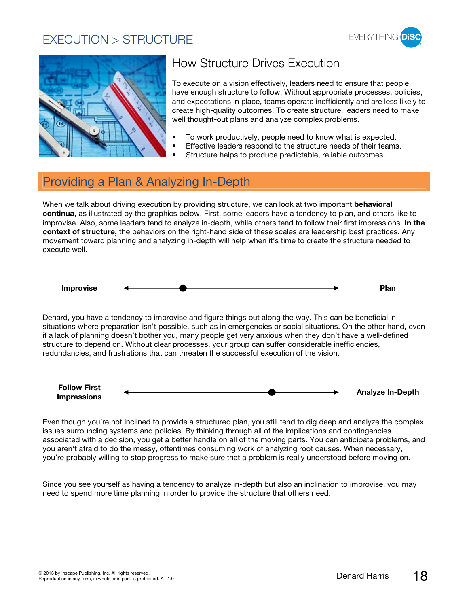#### EXECUTION > STRUCTURE





## How Structure Drives Execution

To execute on a vision effectively, leaders need to ensure that people have enough structure to follow. Without appropriate processes, policies, and expectations in place, teams operate inefficiently and are less likely to create high-quality outcomes. To create structure, leaders need to make well thought-out plans and analyze complex problems.

- To work productively, people need to know what is expected.
- Effective leaders respond to the structure needs of their teams.
- Structure helps to produce predictable, reliable outcomes.

## Providing a Plan & Analyzing In-Depth

When we talk about driving execution by providing structure, we can look at two important **behavioral continua**, as illustrated by the graphics below. First, some leaders have a tendency to plan, and others like to improvise. Also, some leaders tend to analyze in-depth, while others tend to follow their first impressions. **In the context of structure,** the behaviors on the right-hand side of these scales are leadership best practices. Any movement toward planning and analyzing in-depth will help when it's time to create the structure needed to execute well.



Denard, you have a tendency to improvise and figure things out along the way. This can be beneficial in situations where preparation isn't possible, such as in emergencies or social situations. On the other hand, even if a lack of planning doesn't bother you, many people get very anxious when they don't have a well-defined structure to depend on. Without clear processes, your group can suffer considerable inefficiencies, redundancies, and frustrations that can threaten the successful execution of the vision.



Even though you're not inclined to provide a structured plan, you still tend to dig deep and analyze the complex issues surrounding systems and policies. By thinking through all of the implications and contingencies associated with a decision, you get a better handle on all of the moving parts. You can anticipate problems, and you aren't afraid to do the messy, oftentimes consuming work of analyzing root causes. When necessary, you're probably willing to stop progress to make sure that a problem is really understood before moving on.

Since you see yourself as having a tendency to analyze in-depth but also an inclination to improvise, you may need to spend more time planning in order to provide the structure that others need.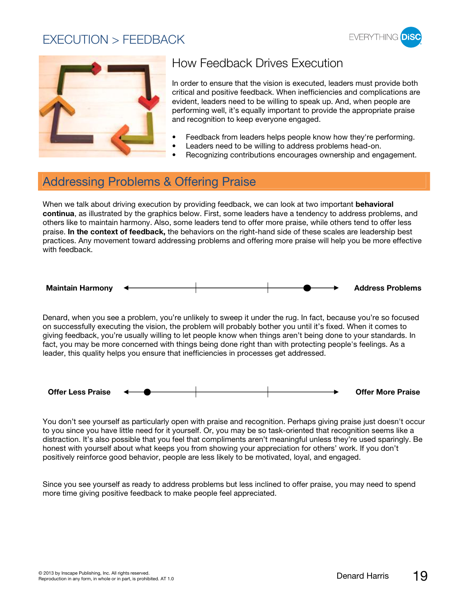#### EXECUTION > FEEDBACK





## How Feedback Drives Execution

In order to ensure that the vision is executed, leaders must provide both critical and positive feedback. When inefficiencies and complications are evident, leaders need to be willing to speak up. And, when people are performing well, it's equally important to provide the appropriate praise and recognition to keep everyone engaged.

- Feedback from leaders helps people know how they're performing.
- Leaders need to be willing to address problems head-on.
- Recognizing contributions encourages ownership and engagement.

#### Addressing Problems & Offering Praise

When we talk about driving execution by providing feedback, we can look at two important **behavioral continua**, as illustrated by the graphics below. First, some leaders have a tendency to address problems, and others like to maintain harmony. Also, some leaders tend to offer more praise, while others tend to offer less praise. **In the context of feedback,** the behaviors on the right-hand side of these scales are leadership best practices. Any movement toward addressing problems and offering more praise will help you be more effective with feedback.



Denard, when you see a problem, you're unlikely to sweep it under the rug. In fact, because you're so focused on successfully executing the vision, the problem will probably bother you until it's fixed. When it comes to giving feedback, you're usually willing to let people know when things aren't being done to your standards. In fact, you may be more concerned with things being done right than with protecting people's feelings. As a leader, this quality helps you ensure that inefficiencies in processes get addressed.



You don't see yourself as particularly open with praise and recognition. Perhaps giving praise just doesn't occur to you since you have little need for it yourself. Or, you may be so task-oriented that recognition seems like a distraction. It's also possible that you feel that compliments aren't meaningful unless they're used sparingly. Be honest with yourself about what keeps you from showing your appreciation for others' work. If you don't positively reinforce good behavior, people are less likely to be motivated, loyal, and engaged.

Since you see yourself as ready to address problems but less inclined to offer praise, you may need to spend more time giving positive feedback to make people feel appreciated.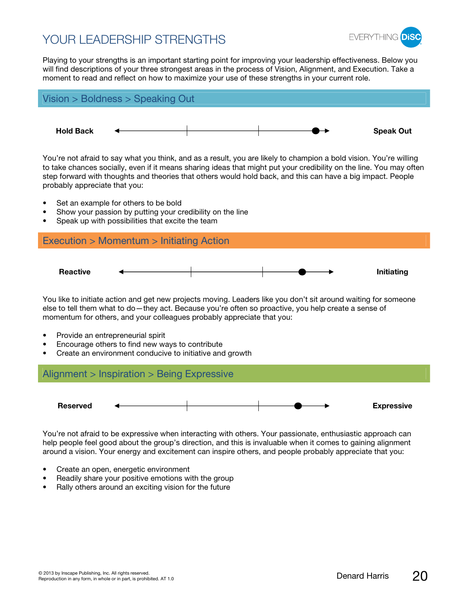#### YOUR LEADERSHIP STRENGTHS



Playing to your strengths is an important starting point for improving your leadership effectiveness. Below you will find descriptions of your three strongest areas in the process of Vision, Alignment, and Execution. Take a moment to read and reflect on how to maximize your use of these strengths in your current role.



- Create an open, energetic environment
- Readily share your positive emotions with the group
- Rally others around an exciting vision for the future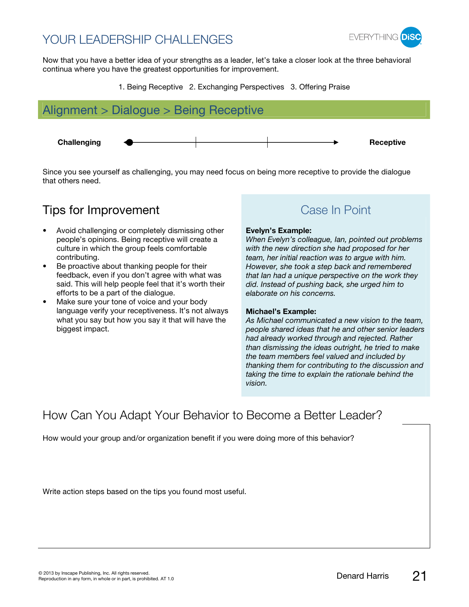## YOUR LEADERSHIP CHALLENGES



Now that you have a better idea of your strengths as a leader, let's take a closer look at the three behavioral continua where you have the greatest opportunities for improvement.

1. Being Receptive 2. Exchanging Perspectives 3. Offering Praise



Since you see yourself as challenging, you may need focus on being more receptive to provide the dialogue that others need.

### **Tips for Improvement** Case In Point

- Avoid challenging or completely dismissing other people's opinions. Being receptive will create a culture in which the group feels comfortable contributing.
- Be proactive about thanking people for their feedback, even if you don't agree with what was said. This will help people feel that it's worth their efforts to be a part of the dialogue.
- Make sure your tone of voice and your body language verify your receptiveness. It's not always what you say but how you say it that will have the biggest impact.

#### **Evelyn's Example:**

When Evelyn's colleague, Ian, pointed out problems with the new direction she had proposed for her team, her initial reaction was to argue with him. However, she took a step back and remembered that Ian had a unique perspective on the work they did. Instead of pushing back, she urged him to elaborate on his concerns.

#### **Michael's Example:**

As Michael communicated a new vision to the team, people shared ideas that he and other senior leaders had already worked through and rejected. Rather than dismissing the ideas outright, he tried to make the team members feel valued and included by thanking them for contributing to the discussion and taking the time to explain the rationale behind the vision.

#### How Can You Adapt Your Behavior to Become a Better Leader?

How would your group and/or organization benefit if you were doing more of this behavior?

Write action steps based on the tips you found most useful.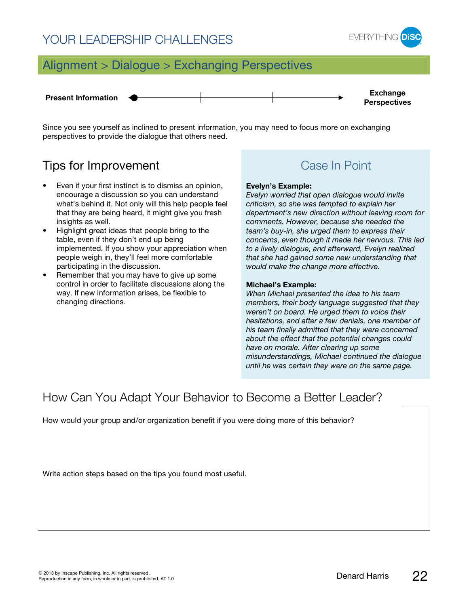#### YOUR LEADERSHIP CHALLENGES



## Alignment > Dialogue > Exchanging Perspectives



Since you see yourself as inclined to present information, you may need to focus more on exchanging perspectives to provide the dialogue that others need.

#### **Tips for Improvement** Case In Point

- Even if your first instinct is to dismiss an opinion, encourage a discussion so you can understand what's behind it. Not only will this help people feel that they are being heard, it might give you fresh insights as well.
- Highlight great ideas that people bring to the table, even if they don't end up being implemented. If you show your appreciation when people weigh in, they'll feel more comfortable participating in the discussion.
- Remember that you may have to give up some control in order to facilitate discussions along the way. If new information arises, be flexible to changing directions.

#### **Evelyn's Example:**

Evelyn worried that open dialogue would invite criticism, so she was tempted to explain her department's new direction without leaving room for comments. However, because she needed the team's buy-in, she urged them to express their concerns, even though it made her nervous. This led to a lively dialogue, and afterward, Evelyn realized that she had gained some new understanding that would make the change more effective.

#### **Michael's Example:**

When Michael presented the idea to his team members, their body language suggested that they weren't on board. He urged them to voice their hesitations, and after a few denials, one member of his team finally admitted that they were concerned about the effect that the potential changes could have on morale. After clearing up some misunderstandings, Michael continued the dialogue until he was certain they were on the same page.

#### How Can You Adapt Your Behavior to Become a Better Leader?

How would your group and/or organization benefit if you were doing more of this behavior?

Write action steps based on the tips you found most useful.